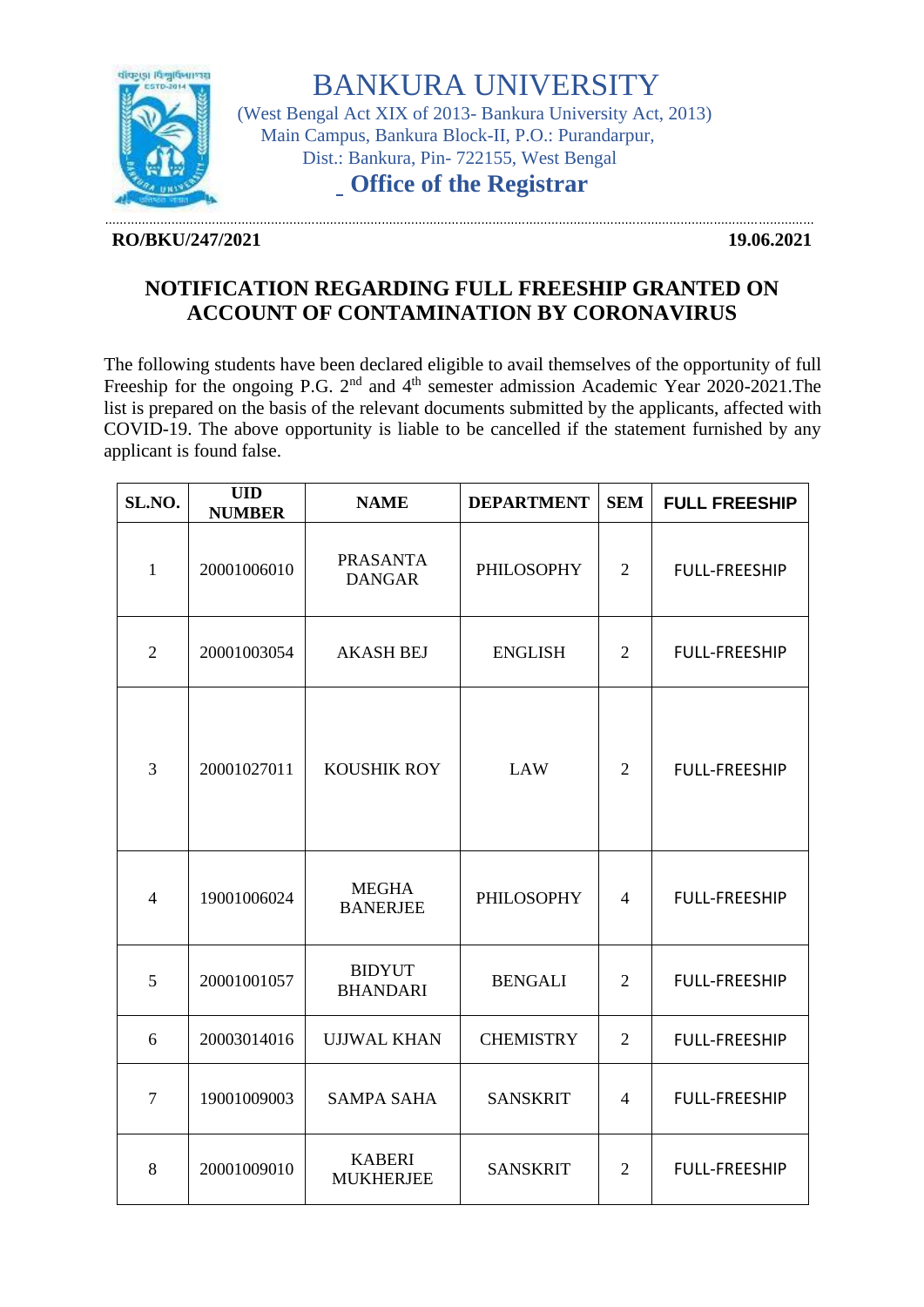

BANKURA UNIVERSITY (West Bengal Act XIX of 2013- Bankura University Act, 2013) Main Campus, Bankura Block-II, P.O.: Purandarpur, Dist.: Bankura, Pin- 722155, West Bengal

**Office of the Registrar**

## **RO/BKU/247/2021 19.06.2021**

…………………………………………………………………………………………………………………………………………………………………………

## **NOTIFICATION REGARDING FULL FREESHIP GRANTED ON ACCOUNT OF CONTAMINATION BY CORONAVIRUS**

The following students have been declared eligible to avail themselves of the opportunity of full Freeship for the ongoing P.G.  $2<sup>nd</sup>$  and  $4<sup>th</sup>$  semester admission Academic Year 2020-2021. The list is prepared on the basis of the relevant documents submitted by the applicants, affected with COVID-19. The above opportunity is liable to be cancelled if the statement furnished by any applicant is found false.

| SL.NO.         | <b>UID</b><br><b>NUMBER</b> | <b>NAME</b>                       | <b>DEPARTMENT</b> | <b>SEM</b>     | <b>FULL FREESHIP</b> |
|----------------|-----------------------------|-----------------------------------|-------------------|----------------|----------------------|
| $\mathbf{1}$   | 20001006010                 | <b>PRASANTA</b><br><b>DANGAR</b>  | PHILOSOPHY        | $\overline{2}$ | <b>FULL-FREESHIP</b> |
| $\overline{2}$ | 20001003054                 | <b>AKASH BEJ</b>                  | <b>ENGLISH</b>    | 2              | <b>FULL-FREESHIP</b> |
| 3              | 20001027011                 | KOUSHIK ROY                       | <b>LAW</b>        | $\overline{2}$ | <b>FULL-FREESHIP</b> |
| $\overline{4}$ | 19001006024                 | <b>MEGHA</b><br><b>BANERJEE</b>   | <b>PHILOSOPHY</b> | $\overline{4}$ | <b>FULL-FREESHIP</b> |
| 5              | 20001001057                 | <b>BIDYUT</b><br><b>BHANDARI</b>  | <b>BENGALI</b>    | $\overline{2}$ | <b>FULL-FREESHIP</b> |
| 6              | 20003014016                 | <b>UJJWAL KHAN</b>                | <b>CHEMISTRY</b>  | $\overline{2}$ | <b>FULL-FREESHIP</b> |
| $\overline{7}$ | 19001009003                 | <b>SAMPA SAHA</b>                 | <b>SANSKRIT</b>   | $\overline{4}$ | <b>FULL-FREESHIP</b> |
| 8              | 20001009010                 | <b>KABERI</b><br><b>MUKHERJEE</b> | <b>SANSKRIT</b>   | $\overline{2}$ | <b>FULL-FREESHIP</b> |